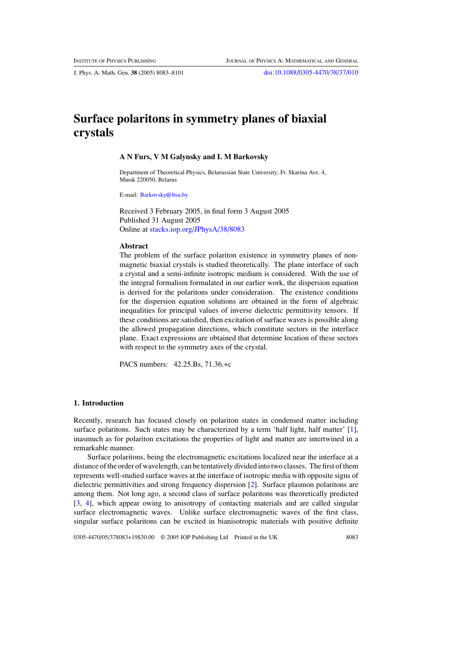J. Phys. A: Math. Gen. **38** (2005) 8083–8101 [doi:10.1088/0305-4470/38/37/010](http://dx.doi.org/10.1088/0305-4470/38/37/010)

# **Surface polaritons in symmetry planes of biaxial crystals**

## **A N Furs, V M Galynsky and L M Barkovsky**

Department of Theoretical Physics, Belarussian State University, Fr. Skarina Ave. 4, Minsk 220050, Belarus

E-mail: [Barkovsky@bsu.by](mailto:Barkovsky@bsu.by)

Received 3 February 2005, in final form 3 August 2005 Published 31 August 2005 Online at [stacks.iop.org/JPhysA/38/8083](http://stacks.iop.org/ja/38/8083)

#### **Abstract**

The problem of the surface polariton existence in symmetry planes of nonmagnetic biaxial crystals is studied theoretically. The plane interface of such a crystal and a semi-infinite isotropic medium is considered. With the use of the integral formalism formulated in our earlier work, the dispersion equation is derived for the polaritons under consideration. The existence conditions for the dispersion equation solutions are obtained in the form of algebraic inequalities for principal values of inverse dielectric permittivity tensors. If these conditions are satisfied, then excitation of surface waves is possible along the allowed propagation directions, which constitute sectors in the interface plane. Exact expressions are obtained that determine location of these sectors with respect to the symmetry axes of the crystal.

PACS numbers: 42.25.Bs, 71.36.+c

## **1. Introduction**

Recently, research has focused closely on polariton states in condensed matter including surface polaritons. Such states may be characterized by a term 'half light, half matter' [\[1\]](#page-18-0), inasmuch as for polariton excitations the properties of light and matter are intertwined in a remarkable manner.

Surface polaritons, being the electromagnetic excitations localized near the interface at a distance of the order of wavelength, can be tentatively divided into two classes. The first of them represents well-studied surface waves at the interface of isotropic media with opposite signs of dielectric permittivities and strong frequency dispersion [\[2](#page-18-0)]. Surface plasmon polaritons are among them. Not long ago, a second class of surface polaritons was theoretically predicted [\[3](#page-18-0), [4](#page-18-0)], which appear owing to anisotropy of contacting materials and are called singular surface electromagnetic waves. Unlike surface electromagnetic waves of the first class, singular surface polaritons can be excited in bianisotropic materials with positive definite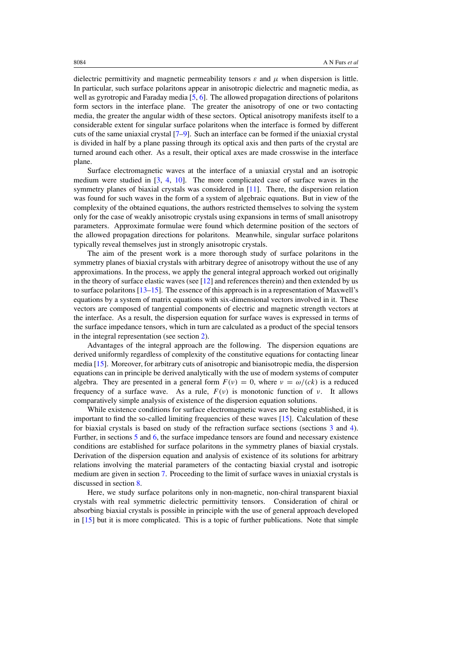dielectric permittivity and magnetic permeability tensors  $\varepsilon$  and  $\mu$  when dispersion is little. In particular, such surface polaritons appear in anisotropic dielectric and magnetic media, as well as gyrotropic and Faraday media [\[5,](#page-18-0) [6\]](#page-18-0). The allowed propagation directions of polaritons form sectors in the interface plane. The greater the anisotropy of one or two contacting media, the greater the angular width of these sectors. Optical anisotropy manifests itself to a considerable extent for singular surface polaritons when the interface is formed by different cuts of the same uniaxial crystal [\[7–9\]](#page-18-0). Such an interface can be formed if the uniaxial crystal is divided in half by a plane passing through its optical axis and then parts of the crystal are turned around each other. As a result, their optical axes are made crosswise in the interface plane.

Surface electromagnetic waves at the interface of a uniaxial crystal and an isotropic medium were studied in [\[3,](#page-18-0) [4,](#page-18-0) [10](#page-18-0)]. The more complicated case of surface waves in the symmetry planes of biaxial crystals was considered in [\[11](#page-18-0)]. There, the dispersion relation was found for such waves in the form of a system of algebraic equations. But in view of the complexity of the obtained equations, the authors restricted themselves to solving the system only for the case of weakly anisotropic crystals using expansions in terms of small anisotropy parameters. Approximate formulae were found which determine position of the sectors of the allowed propagation directions for polaritons. Meanwhile, singular surface polaritons typically reveal themselves just in strongly anisotropic crystals.

The aim of the present work is a more thorough study of surface polaritons in the symmetry planes of biaxial crystals with arbitrary degree of anisotropy without the use of any approximations. In the process, we apply the general integral approach worked out originally in the theory of surface elastic waves (see [\[12](#page-18-0)] and references therein) and then extended by us to surface polaritons [\[13–15](#page-18-0)]. The essence of this approach is in a representation of Maxwell's equations by a system of matrix equations with six-dimensional vectors involved in it. These vectors are composed of tangential components of electric and magnetic strength vectors at the interface. As a result, the dispersion equation for surface waves is expressed in terms of the surface impedance tensors, which in turn are calculated as a product of the special tensors in the integral representation (see section [2\)](#page-2-0).

Advantages of the integral approach are the following. The dispersion equations are derived uniformly regardless of complexity of the constitutive equations for contacting linear media [\[15\]](#page-18-0). Moreover, for arbitrary cuts of anisotropic and bianisotropic media, the dispersion equations can in principle be derived analytically with the use of modern systems of computer algebra. They are presented in a general form  $F(v) = 0$ , where  $v = \omega/(ck)$  is a reduced frequency of a surface wave. As a rule,  $F(v)$  is monotonic function of *v*. It allows comparatively simple analysis of existence of the dispersion equation solutions.

While existence conditions for surface electromagnetic waves are being established, it is important to find the so-called limiting frequencies of these waves [\[15\]](#page-18-0). Calculation of these for biaxial crystals is based on study of the refraction surface sections (sections [3](#page-4-0) and [4\)](#page-7-0). Further, in sections [5](#page-8-0) and [6,](#page-11-0) the surface impedance tensors are found and necessary existence conditions are established for surface polaritons in the symmetry planes of biaxial crystals. Derivation of the dispersion equation and analysis of existence of its solutions for arbitrary relations involving the material parameters of the contacting biaxial crystal and isotropic medium are given in section [7.](#page-12-0) Proceeding to the limit of surface waves in uniaxial crystals is discussed in section [8.](#page-17-0)

Here, we study surface polaritons only in non-magnetic, non-chiral transparent biaxial crystals with real symmetric dielectric permittivity tensors. Consideration of chiral or absorbing biaxial crystals is possible in principle with the use of general approach developed in [\[15](#page-18-0)] but it is more complicated. This is a topic of further publications. Note that simple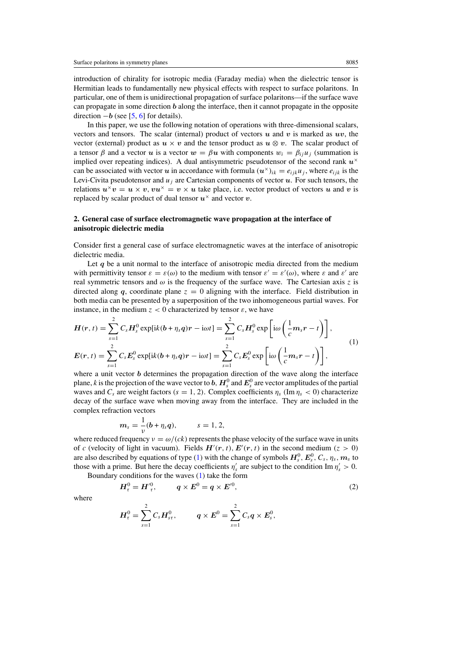<span id="page-2-0"></span>introduction of chirality for isotropic media (Faraday media) when the dielectric tensor is Hermitian leads to fundamentally new physical effects with respect to surface polaritons. In particular, one of them is unidirectional propagation of surface polaritons—if the surface wave can propagate in some direction *b* along the interface, then it cannot propagate in the opposite direction  $-b$  (see [\[5,](#page-18-0) [6\]](#page-18-0) for details).

In this paper, we use the following notation of operations with three-dimensional scalars, vectors and tensors. The scalar (internal) product of vectors  $u$  and  $v$  is marked as  $uv$ , the vector (external) product as  $u \times v$  and the tensor product as  $u \otimes v$ . The scalar product of a tensor  $\beta$  and a vector  $u$  is a vector  $w = \beta u$  with components  $w_i = \beta_{ii} u_i$  (summation is implied over repeating indices). A dual antisymmetric pseudotensor of the second rank  $u^{\times}$ can be associated with vector *u* in accordance with formula  $(u^{\times})_{ik} = e_{ijk}u_j$ , where  $e_{ijk}$  is the Levi-Civita pseudotensor and  $u_j$  are Cartesian components of vector  $u$ . For such tensors, the relations  $u^{\times}v = u \times v$ ,  $vu^{\times} = v \times u$  take place, i.e. vector product of vectors *u* and *v* is replaced by scalar product of dual tensor  $u^{\times}$  and vector *v*.

## **2. General case of surface electromagnetic wave propagation at the interface of anisotropic dielectric media**

Consider first a general case of surface electromagnetic waves at the interface of anisotropic dielectric media.

Let *q* be a unit normal to the interface of anisotropic media directed from the medium with permittivity tensor  $\varepsilon = \varepsilon(\omega)$  to the medium with tensor  $\varepsilon' = \varepsilon'(\omega)$ , where  $\varepsilon$  and  $\varepsilon'$  are real symmetric tensors and  $\omega$  is the frequency of the surface wave. The Cartesian axis *z* is directed along *q*, coordinate plane  $z = 0$  aligning with the interface. Field distribution in both media can be presented by a superposition of the two inhomogeneous partial waves. For instance, in the medium  $z < 0$  characterized by tensor  $\varepsilon$ , we have

$$
H(r,t) = \sum_{s=1}^{2} C_s H_s^0 \exp[ik(b+\eta_s q)r - i\omega t] = \sum_{s=1}^{2} C_s H_s^0 \exp\left[i\omega\left(\frac{1}{c}m_s r - t\right)\right],
$$
  
\n
$$
E(r,t) = \sum_{s=1}^{2} C_s E_s^0 \exp[ik(b+\eta_s q)r - i\omega t] = \sum_{s=1}^{2} C_s E_s^0 \exp\left[i\omega\left(\frac{1}{c}m_s r - t\right)\right],
$$
\n(1)

where a unit vector *b* determines the propagation direction of the wave along the interface plane,  $k$  is the projection of the wave vector to  $b$ ,  $H_s^0$  and  $E_s^0$  are vector amplitudes of the partial waves and  $C_s$  are weight factors  $(s = 1, 2)$ . Complex coefficients  $\eta_s$  (Im  $\eta_s < 0$ ) characterize decay of the surface wave when moving away from the interface. They are included in the complex refraction vectors

$$
m_s=\frac{1}{v}(b+\eta_s q), \qquad s=1,2,
$$

where reduced frequency  $v = \omega/(ck)$  represents the phase velocity of the surface wave in units of *c* (velocity of light in vacuum). Fields  $H'(r, t)$ ,  $E'(r, t)$  in the second medium  $(z > 0)$ are also described by equations of type (1) with the change of symbols  $H_s^0$ ,  $E_s^0$ ,  $C_s$ ,  $\eta_s$ ,  $m_s$  to those with a prime. But here the decay coefficients  $\eta_s$  are subject to the condition Im  $\eta_s' > 0$ .

Boundary conditions for the waves (1) take the form

$$
H_{\tau}^{0} = H_{\tau}^{\prime 0}, \qquad q \times E^{0} = q \times E^{\prime 0}, \qquad (2)
$$

where

$$
H_{\tau}^{0} = \sum_{s=1}^{2} C_{s} H_{s\tau}^{0}, \qquad q \times E^{0} = \sum_{s=1}^{2} C_{s} q \times E_{s}^{0},
$$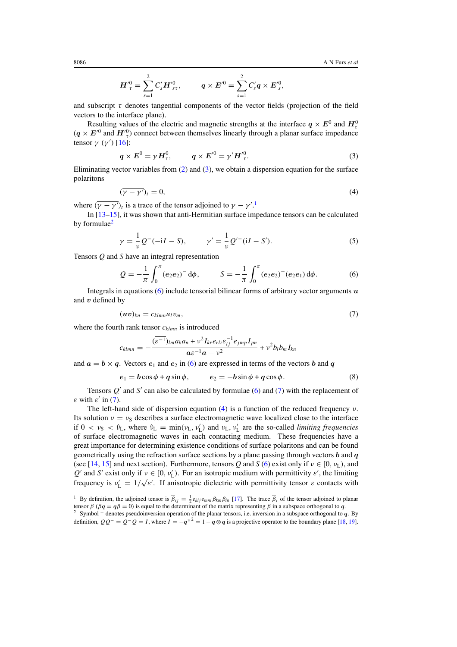$$
{\boldsymbol{H}'}_{{\tau}}^0 = \sum_{s=1}^2 {\boldsymbol{C}}'_s {\boldsymbol{H}'}_{s{\tau}}^0, \qquad {\boldsymbol{q}} \times {\boldsymbol{E}'}^0 = \sum_{s=1}^2 {\boldsymbol{C}}'_s {\boldsymbol{q}} \times {\boldsymbol{E}'}_s^0,
$$

and subscript  $\tau$  denotes tangential components of the vector fields (projection of the field vectors to the interface plane).

Resulting values of the electric and magnetic strengths at the interface  $q \times E^0$  and  $H^0_\tau$  $(q \times E'^{0}$  and  $H'^{0}_{\tau}$ ) connect between themselves linearly through a planar surface impedance tensor  $\gamma$  (γ') [\[16](#page-18-0)]:

$$
\boldsymbol{q} \times \boldsymbol{E}^0 = \gamma \boldsymbol{H}_\tau^0, \qquad \boldsymbol{q} \times \boldsymbol{E}'^0 = \gamma' \boldsymbol{H}'^0_\tau. \tag{3}
$$

Eliminating vector variables from  $(2)$  and  $(3)$ , we obtain a dispersion equation for the surface polaritons

$$
(\overline{\gamma - \gamma'})_t = 0,\tag{4}
$$

where  $(\gamma - \gamma')_t$  is a trace of the tensor adjoined to  $\gamma - \gamma'$ .<sup>1</sup>

In [\[13–15\]](#page-18-0), it was shown that anti-Hermitian surface impedance tensors can be calculated by formulae<sup>2</sup>

$$
\gamma = \frac{1}{\nu} Q^{-}(-iI - S), \qquad \gamma' = \frac{1}{\nu} Q'^{-} (iI - S'). \tag{5}
$$

Tensors *Q* and *S* have an integral representation

$$
Q = -\frac{1}{\pi} \int_0^{\pi} (e_2 e_2)^{-} d\phi, \qquad S = -\frac{1}{\pi} \int_0^{\pi} (e_2 e_2)^{-} (e_2 e_1) d\phi.
$$
 (6)

Integrals in equations (6) include tensorial bilinear forms of arbitrary vector arguments *u* and *v* defined by

$$
(\boldsymbol{uv})_{kn} = c_{klmn} u_l v_m,\tag{7}
$$

where the fourth rank tensor  $c_{klmn}$  is introduced

$$
c_{klmn} = -\frac{(\overline{\varepsilon^{-1}})_{lm}a_{k}a_{n} + \nu^{2}I_{kr}e_{rli}\varepsilon_{ij}^{-1}e_{jmp}I_{pn}}{a\varepsilon^{-1}a - \nu^{2}} + \nu^{2}b_{l}b_{m}I_{kn}
$$

and  $a = b \times q$ . Vectors  $e_1$  and  $e_2$  in (6) are expressed in terms of the vectors *b* and *q* 

$$
e_1 = b\cos\phi + q\sin\phi, \qquad e_2 = -b\sin\phi + q\cos\phi. \tag{8}
$$

Tensors  $Q'$  and  $S'$  can also be calculated by formulae (6) and (7) with the replacement of *ε* with  $\varepsilon'$  in (7).

The left-hand side of dispersion equation (4) is a function of the reduced frequency *ν*. Its solution  $v = v<sub>S</sub>$  describes a surface electromagnetic wave localized close to the interface if  $0 < v_S < \hat{v}_L$ , where  $\hat{v}_L = \min(v_L, v'_L)$  and  $v_L, v'_L$  are the so-called *limiting frequencies* of surface electromagnetic waves in each contacting medium. These frequencies have a great importance for determining existence conditions of surface polaritons and can be found geometrically using the refraction surface sections by a plane passing through vectors *b* and *q* (see [\[14,](#page-18-0) [15](#page-18-0)] and next section). Furthermore, tensors *Q* and *S* (6) exist only if  $v \in [0, v_L)$ , and  $Q'$  and *S*<sup> $\prime$ </sup> exist only if  $\nu \in [0, \nu'_{\text{L}})$ . For an isotropic medium with permittivity  $\varepsilon'$ , the limiting Let  $\alpha$  and *S* exist only if  $\nu \in [0, \nu_L]$ . For an isotropic medium with permittivity  $\varepsilon$ , the minimig frequency is  $\nu_L' = 1/\sqrt{\varepsilon'}$ . If anisotropic dielectric with permittivity tensor *ε* contacts with

<span id="page-3-0"></span>

<sup>&</sup>lt;sup>1</sup> By definition, the adjoined tensor is  $\overline{\beta}_{ij} = \frac{1}{2} e_{klj} e_{mni} \beta_{km} \beta_{ln}$  [\[17](#page-18-0)]. The trace  $\overline{\beta}_t$  of the tensor adjoined to planar tensor *β* (*β***q** =  $q\beta$  = 0) is equal to the determinant of the matrix representing *β* in a subspace orthogonal to *q*. <sup>2</sup> Symbol <sup>−</sup> denotes pseudoinversion operation of the planar tensors, i.e. inversion in a subspace orthogonal to *q*. By

definition,  $QQ^{-} = Q^{-}Q = I$ , where  $I = -q^{\times 2} = 1 - q \otimes q$  is a projective operator to the boundary plane [\[18](#page-18-0), [19\]](#page-18-0).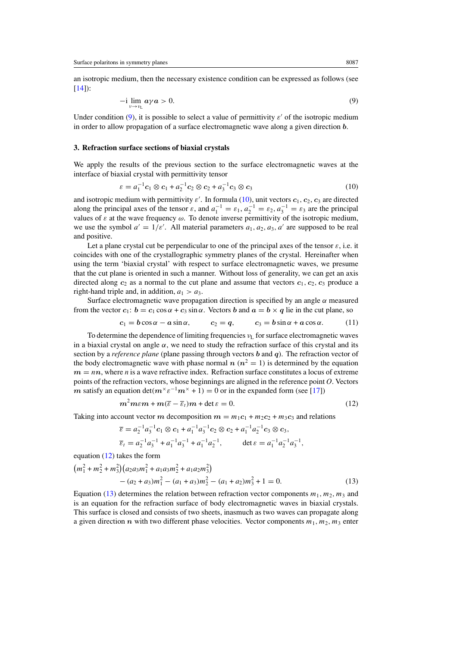<span id="page-4-0"></span>an isotropic medium, then the necessary existence condition can be expressed as follows (see  $[14]$  $[14]$ :

$$
-i \lim_{\nu \to \nu_L} a\gamma a > 0. \tag{9}
$$

Under condition  $(9)$ , it is possible to select a value of permittivity  $\varepsilon'$  of the isotropic medium in order to allow propagation of a surface electromagnetic wave along a given direction *b*.

## **3. Refraction surface sections of biaxial crystals**

We apply the results of the previous section to the surface electromagnetic waves at the interface of biaxial crystal with permittivity tensor

$$
\varepsilon = a_1^{-1} c_1 \otimes c_1 + a_2^{-1} c_2 \otimes c_2 + a_3^{-1} c_3 \otimes c_3 \tag{10}
$$

and isotropic medium with permittivity  $\varepsilon'$ . In formula (10), unit vectors  $c_1$ ,  $c_2$ ,  $c_3$  are directed along the principal axes of the tensor  $\varepsilon$ , and  $a_1^{-1} = \varepsilon_1$ ,  $a_2^{-1} = \varepsilon_2$ ,  $a_3^{-1} = \varepsilon_3$  are the principal values of  $\varepsilon$  at the wave frequency  $\omega$ . To denote inverse permittivity of the isotropic medium, we use the symbol  $a' = 1/\varepsilon'$ . All material parameters  $a_1, a_2, a_3, a'$  are supposed to be real and positive.

Let a plane crystal cut be perpendicular to one of the principal axes of the tensor  $\varepsilon$ , i.e. it coincides with one of the crystallographic symmetry planes of the crystal. Hereinafter when using the term 'biaxial crystal' with respect to surface electromagnetic waves, we presume that the cut plane is oriented in such a manner. Without loss of generality, we can get an axis directed along  $c_2$  as a normal to the cut plane and assume that vectors  $c_1$ ,  $c_2$ ,  $c_3$  produce a right-hand triple and, in addition,  $a_1 > a_3$ .

Surface electromagnetic wave propagation direction is specified by an angle *α* measured from the vector  $c_1$ :  $b = c_1 \cos \alpha + c_3 \sin \alpha$ . Vectors *b* and  $a = b \times q$  lie in the cut plane, so

$$
c_1 = b\cos\alpha - a\sin\alpha, \qquad c_2 = q, \qquad c_3 = b\sin\alpha + a\cos\alpha. \tag{11}
$$

To determine the dependence of limiting frequencies *ν*<sub>L</sub> for surface electromagnetic waves in a biaxial crystal on angle  $\alpha$ , we need to study the refraction surface of this crystal and its section by a *reference plane* (plane passing through vectors *b* and *q*). The refraction vector of the body electromagnetic wave with phase normal  $n (n^2 = 1)$  is determined by the equation  $m = nn$ , where *n* is a wave refractive index. Refraction surface constitutes a locus of extreme points of the refraction vectors, whose beginnings are aligned in the reference point *O*. Vectors *m* satisfy an equation det $(m^{\times} \varepsilon^{-1} m^{\times} + 1) = 0$  or in the expanded form (see [\[17\]](#page-18-0))

$$
m^2m\varepsilon m + m(\overline{\varepsilon} - \overline{\varepsilon}_t)m + \det \varepsilon = 0.
$$
 (12)

Taking into account vector *m* decomposition  $m = m_1c_1 + m_2c_2 + m_3c_3$  and relations

$$
\overline{\varepsilon} = a_2^{-1} a_3^{-1} c_1 \otimes c_1 + a_1^{-1} a_3^{-1} c_2 \otimes c_2 + a_1^{-1} a_2^{-1} c_3 \otimes c_3,
$$
  

$$
\overline{\varepsilon}_t = a_2^{-1} a_3^{-1} + a_1^{-1} a_3^{-1} + a_1^{-1} a_2^{-1}, \qquad \det \varepsilon = a_1^{-1} a_2^{-1} a_3^{-1},
$$

equation (12) takes the form

$$
(m_1^2 + m_2^2 + m_3^2)(a_2a_3m_1^2 + a_1a_3m_2^2 + a_1a_2m_3^2)
$$
  
 
$$
- (a_2 + a_3)m_1^2 - (a_1 + a_3)m_2^2 - (a_1 + a_2)m_3^2 + 1 = 0.
$$
 (13)

Equation (13) determines the relation between refraction vector components  $m_1$ ,  $m_2$ ,  $m_3$  and is an equation for the refraction surface of body electromagnetic waves in biaxial crystals. This surface is closed and consists of two sheets, inasmuch as two waves can propagate along a given direction *n* with two different phase velocities. Vector components  $m_1, m_2, m_3$  enter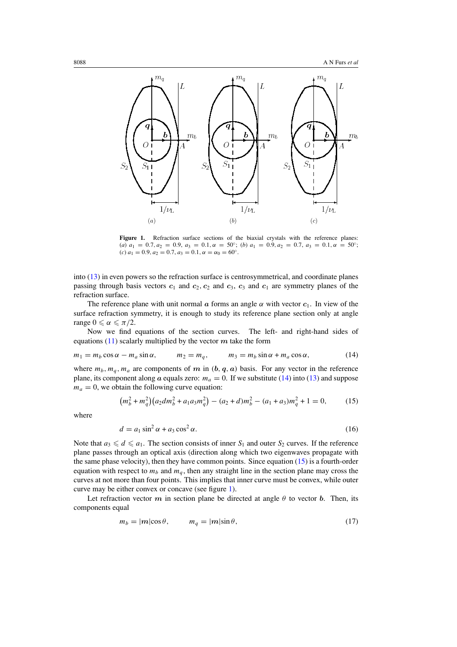<span id="page-5-0"></span>

Figure 1. Refraction surface sections of the biaxial crystals with the reference planes: (*a*)  $a_1 = 0.7, a_2 = 0.9, a_3 = 0.1, \alpha = 50°;$  (*b*)  $a_1 = 0.9, a_2 = 0.7, a_3 = 0.1, \alpha = 50°;$  $(c) a_1 = 0.9, a_2 = 0.7, a_3 = 0.1, \alpha = \alpha_0 = 60^\circ.$ 

into [\(13\)](#page-4-0) in even powers so the refraction surface is centrosymmetrical, and coordinate planes passing through basis vectors  $c_1$  and  $c_2$ ,  $c_2$  and  $c_3$ ,  $c_3$  and  $c_1$  are symmetry planes of the refraction surface.

The reference plane with unit normal *a* forms an angle  $\alpha$  with vector  $c_1$ . In view of the surface refraction symmetry, it is enough to study its reference plane section only at angle range  $0 \le \alpha \le \pi/2$ .

Now we find equations of the section curves. The left- and right-hand sides of equations  $(11)$  scalarly multiplied by the vector  $m$  take the form

$$
m_1 = m_b \cos \alpha - m_a \sin \alpha, \qquad m_2 = m_q, \qquad m_3 = m_b \sin \alpha + m_a \cos \alpha, \tag{14}
$$

where  $m_b, m_q, m_a$  are components of  $m$  in  $(b, q, a)$  basis. For any vector in the reference plane, its component along *a* equals zero:  $m_a = 0$ . If we substitute (14) into [\(13\)](#page-4-0) and suppose  $m_a = 0$ , we obtain the following curve equation:

$$
(m_b^2 + m_q^2)(a_2 dm_b^2 + a_1 a_3 m_q^2) - (a_2 + d)m_b^2 - (a_1 + a_3)m_q^2 + 1 = 0,
$$
 (15)

where

$$
d = a_1 \sin^2 \alpha + a_3 \cos^2 \alpha. \tag{16}
$$

Note that  $a_3 \leq d \leq a_1$ . The section consists of inner  $S_1$  and outer  $S_2$  curves. If the reference plane passes through an optical axis (direction along which two eigenwaves propagate with the same phase velocity), then they have common points. Since equation  $(15)$  is a fourth-order equation with respect to  $m_b$  and  $m_q$ , then any straight line in the section plane may cross the curves at not more than four points. This implies that inner curve must be convex, while outer curve may be either convex or concave (see figure 1).

Let refraction vector  $m$  in section plane be directed at angle  $\theta$  to vector  $\boldsymbol{b}$ . Then, its components equal

$$
m_b = |m|\cos\theta, \qquad m_q = |m|\sin\theta,\tag{17}
$$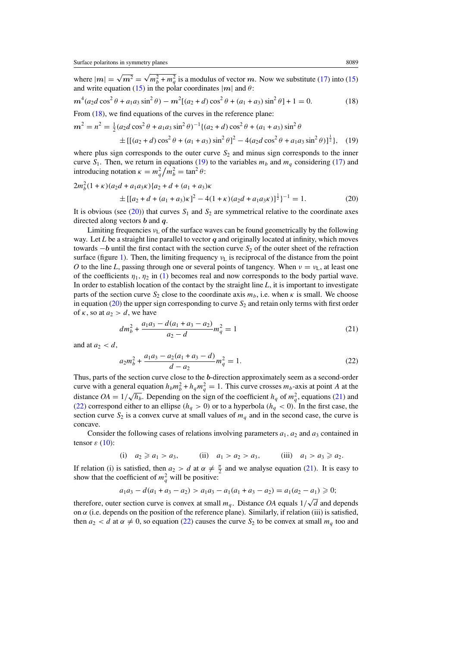$m<sup>2</sup>$ 

<span id="page-6-0"></span>where  $|m| = \sqrt{m^2} = \sqrt{m_b^2 + m_q^2}$  is a modulus of vector *m*. Now we substitute [\(17\)](#page-5-0) into [\(15\)](#page-5-0) and write equation [\(15\)](#page-5-0) in the polar coordinates  $|m|$  and  $\theta$ :

$$
m^4(a_2d\cos^2\theta + a_1a_3\sin^2\theta) - m^2[(a_2+d)\cos^2\theta + (a_1+a_3)\sin^2\theta] + 1 = 0.
$$
 (18)

From  $(18)$ , we find equations of the curves in the reference plane:

$$
e^{2} = n^{2} = \frac{1}{2}(a_{2}d\cos^{2}\theta + a_{1}a_{3}\sin^{2}\theta)^{-1}\{(a_{2} + d)\cos^{2}\theta + (a_{1} + a_{3})\sin^{2}\theta
$$
  
 
$$
\pm [[(a_{2} + d)\cos^{2}\theta + (a_{1} + a_{3})\sin^{2}\theta]^{2} - 4(a_{2}d\cos^{2}\theta + a_{1}a_{3}\sin^{2}\theta)]^{\frac{1}{2}}\}, (19)
$$

where plus sign corresponds to the outer curve  $S<sub>2</sub>$  and minus sign corresponds to the inner curve  $S_1$ . Then, we return in equations (19) to the variables  $m_b$  and  $m_q$  considering [\(17\)](#page-5-0) and introducing notation  $\kappa = m_q^2/m_b^2 = \tan^2 \theta$ :

$$
2m_b^2(1+\kappa)(a_2d + a_1a_3\kappa)\{a_2 + d + (a_1 + a_3)\kappa
$$
  
 
$$
\pm [[a_2 + d + (a_1 + a_3)\kappa]^2 - 4(1+\kappa)(a_2d + a_1a_3\kappa)]^{\frac{1}{2}}\}^{-1} = 1.
$$
 (20)

It is obvious (see  $(20)$ ) that curves  $S_1$  and  $S_2$  are symmetrical relative to the coordinate axes directed along vectors *b* and *q*.

Limiting frequencies  $v<sub>L</sub>$  of the surface waves can be found geometrically by the following way. Let *L* be a straight line parallel to vector *q* and originally located at infinity, which moves towards −*b* until the first contact with the section curve *S*<sub>2</sub> of the outer sheet of the refraction surface (figure [1\)](#page-5-0). Then, the limiting frequency  $v_L$  is reciprocal of the distance from the point *O* to the line *L*, passing through one or several points of tangency. When  $\nu = \nu_L$ , at least one of the coefficients  $\eta_1, \eta_2$  in [\(1\)](#page-2-0) becomes real and now corresponds to the body partial wave. In order to establish location of the contact by the straight line *L*, it is important to investigate parts of the section curve  $S_2$  close to the coordinate axis  $m_b$ , i.e. when  $\kappa$  is small. We choose in equation  $(20)$  the upper sign corresponding to curve  $S_2$  and retain only terms with first order of  $\kappa$ , so at  $a_2 > d$ , we have

$$
dm_b^2 + \frac{a_1 a_3 - d(a_1 + a_3 - a_2)}{a_2 - d} m_q^2 = 1
$$
\n(21)

and at  $a_2 < d$ ,

$$
a_2 m_b^2 + \frac{a_1 a_3 - a_2 (a_1 + a_3 - d)}{d - a_2} m_q^2 = 1.
$$
 (22)

Thus, parts of the section curve close to the *b*-direction approximately seem as a second-order curve with a general equation  $h_b m_b^2 + h_q m_q^2 = 1$ . This curve crosses  $m_b$ -axis at point *A* at the distance  $OA = 1/\sqrt{h_b}$ . Depending on the sign of the coefficient  $h_q$  of  $m_q^2$ , equations (21) and (22) correspond either to an ellipse  $(h_q > 0)$  or to a hyperbola  $(h_q < 0)$ . In the first case, the section curve  $S_2$  is a convex curve at small values of  $m_q$  and in the second case, the curve is concave.

Consider the following cases of relations involving parameters  $a_1$ ,  $a_2$  and  $a_3$  contained in tensor  $\varepsilon$  [\(10\)](#page-4-0):

(i) 
$$
a_2 \ge a_1 > a_3
$$
, (ii)  $a_1 > a_2 > a_3$ , (iii)  $a_1 > a_3 \ge a_2$ .

If relation (i) is satisfied, then  $a_2 > d$  at  $\alpha \neq \frac{\pi}{2}$  and we analyse equation (21). It is easy to show that the coefficient of  $m_q^2$  will be positive:

$$
a_1a_3-d(a_1+a_3-a_2) > a_1a_3-a_1(a_1+a_3-a_2) = a_1(a_2-a_1) \geq 0;
$$

therefore, outer section curve is convex at small  $m_q$ . Distance *OA* equals  $1/\sqrt{d}$  and depends on  $\alpha$  (i.e. depends on the position of the reference plane). Similarly, if relation (iii) is satisfied, then  $a_2 < d$  at  $\alpha \neq 0$ , so equation (22) causes the curve  $S_2$  to be convex at small  $m_q$  too and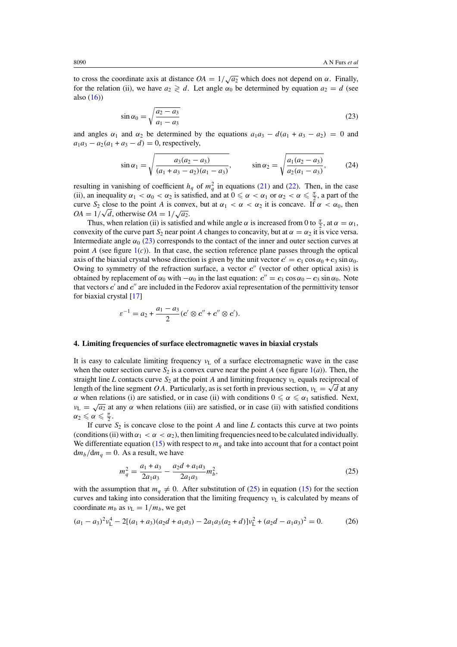<span id="page-7-0"></span>to cross the coordinate axis at distance  $OA = 1/\sqrt{a_2}$  which does not depend on  $\alpha$ . Finally, for the relation (ii), we have  $a_2 \geq d$ . Let angle  $\alpha_0$  be determined by equation  $a_2 = d$  (see also  $(16)$ 

$$
\sin \alpha_0 = \sqrt{\frac{a_2 - a_3}{a_1 - a_3}}\tag{23}
$$

and angles  $\alpha_1$  and  $\alpha_2$  be determined by the equations  $a_1a_3 - d(a_1 + a_3 - a_2) = 0$  and  $a_1a_3 - a_2(a_1 + a_3 - d) = 0$ , respectively,

$$
\sin \alpha_1 = \sqrt{\frac{a_3(a_2 - a_3)}{(a_1 + a_3 - a_2)(a_1 - a_3)}}, \qquad \sin \alpha_2 = \sqrt{\frac{a_1(a_2 - a_3)}{a_2(a_1 - a_3)}}, \qquad (24)
$$

resulting in vanishing of coefficient  $h_q$  of  $m_q^2$  in equations [\(21\)](#page-6-0) and [\(22\)](#page-6-0). Then, in the case (ii), an inequality  $\alpha_1 < \alpha_0 < \alpha_2$  is satisfied, and at  $0 \le \alpha < \alpha_1$  or  $\alpha_2 < \alpha \le \frac{\pi}{2}$ , a part of the curve  $S_2$  close to the point *A* is convex, but at  $\alpha_1 < \alpha < \alpha_2$  it is concave. If  $\alpha < \alpha_0$ , then *OA* =  $1/\sqrt{d}$ , otherwise *OA* =  $1/\sqrt{a_2}$ .

Thus, when relation (ii) is satisfied and while angle  $\alpha$  is increased from 0 to  $\frac{\pi}{2}$ , at  $\alpha = \alpha_1$ , convexity of the curve part  $S_2$  near point *A* changes to concavity, but at  $\alpha = \alpha_2$  it is vice versa. Intermediate angle  $\alpha_0$  (23) corresponds to the contact of the inner and outer section curves at point *A* (see figure  $1(c)$  $1(c)$ ). In that case, the section reference plane passes through the optical axis of the biaxial crystal whose direction is given by the unit vector  $c' = c_1 \cos \alpha_0 + c_3 \sin \alpha_0$ . Owing to symmetry of the refraction surface, a vector  $c''$  (vector of other optical axis) is obtained by replacement of  $\alpha_0$  with  $-\alpha_0$  in the last equation:  $c'' = c_1 \cos \alpha_0 - c_3 \sin \alpha_0$ . Note that vectors *c'* and *c''* are included in the Fedorov axial representation of the permittivity tensor for biaxial crystal [\[17\]](#page-18-0)

$$
\varepsilon^{-1} = a_2 + \frac{a_1 - a_3}{2} (c' \otimes c'' + c'' \otimes c').
$$

#### **4. Limiting frequencies of surface electromagnetic waves in biaxial crystals**

It is easy to calculate limiting frequency  $v<sub>L</sub>$  of a surface electromagnetic wave in the case when the outer section curve  $S_2$  is a convex curve near the point *A* (see figure  $1(a)$  $1(a)$ ). Then, the straight line *L* contacts curve  $S_2$  at the point *A* and limiting frequency  $v_L$  equals reciprocal of length of the line segment *OA*. Particularly, as is set forth in previous section,  $v_L = \sqrt{d}$  at any *α* when relations (i) are satisfied, or in case (ii) with conditions  $0 \le \alpha \le \alpha_1$  satisfied. Next, *ν*<sub>L</sub> =  $\sqrt{a_2}$  at any *α* when relations (iii) are satisfied, or in case (ii) with satisfied conditions  $\alpha_2 \leqslant \alpha \leqslant \frac{\pi}{2}.$ 

If curve  $S_2$  is concave close to the point *A* and line *L* contacts this curve at two points (conditions (ii) with  $\alpha_1 < \alpha < \alpha_2$ ), then limiting frequencies need to be calculated individually. We differentiate equation [\(15\)](#page-5-0) with respect to  $m<sub>q</sub>$  and take into account that for a contact point  $dm_b/dm_a = 0$ . As a result, we have

$$
m_q^2 = \frac{a_1 + a_3}{2a_1 a_3} - \frac{a_2 d + a_1 a_3}{2a_1 a_3} m_b^2,
$$
\n(25)

with the assumption that  $m_q \neq 0$ . After substitution of (25) in equation [\(15\)](#page-5-0) for the section curves and taking into consideration that the limiting frequency *ν*<sup>L</sup> is calculated by means of coordinate  $m_b$  as  $v_L = 1/m_b$ , we get

$$
(a_1 - a_3)^2 v_L^4 - 2[(a_1 + a_3)(a_2d + a_1a_3) - 2a_1a_3(a_2 + d)]v_L^2 + (a_2d - a_1a_3)^2 = 0.
$$
 (26)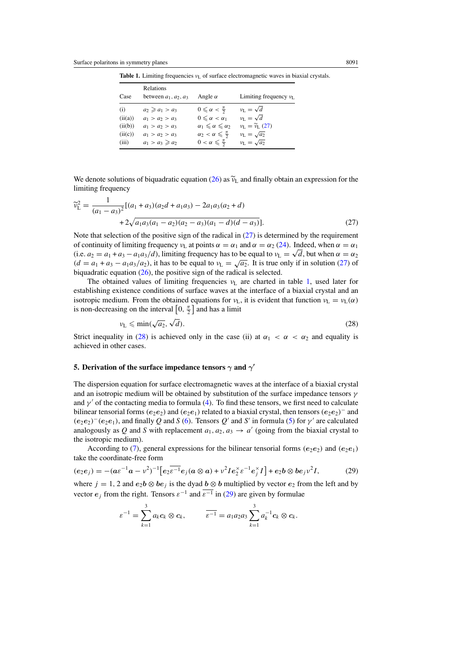|         | Relations                     |                                        |                             |
|---------|-------------------------------|----------------------------------------|-----------------------------|
| Case    | between $a_1$ , $a_2$ , $a_3$ | Angle $\alpha$                         | Limiting frequency $v_L$    |
| (i)     | $a_2 \ge a_1 > a_3$           | $0 \leqslant \alpha < \frac{\pi}{2}$   | $v_{\rm L} = \sqrt{d}$      |
| (ii(a)) | $a_1 > a_2 > a_3$             | $0 \leq \alpha < \alpha_1$             | $v_L = \sqrt{d}$            |
| (ii(b)) | $a_1 > a_2 > a_3$             | $\alpha_1 \leq \alpha \leq \alpha_2$   | $v_L = \widetilde{v}_L(27)$ |
| (ii(c)) | $a_1 > a_2 > a_3$             | $\alpha_2 < \alpha \leq \frac{\pi}{2}$ | $v_{\rm L}=\sqrt{a_2}$      |
| (iii)   | $a_1 > a_3 \ge a_2$           | $0 < \alpha \leq \frac{\pi}{2}$        | $v_{\rm L}=\sqrt{a_2}$      |

<span id="page-8-0"></span>**Table 1.** Limiting frequencies *ν*<sub>L</sub> of surface electromagnetic waves in biaxial crystals.

We denote solutions of biquadratic equation [\(26\)](#page-7-0) as  $\tilde{v}_L$  and finally obtain an expression for the limiting frequency

$$
\widetilde{\nu}_{\rm L}^2 = \frac{1}{(a_1 - a_3)^2} [(a_1 + a_3)(a_2d + a_1a_3) - 2a_1a_3(a_2 + d) \n+ 2\sqrt{a_1a_3(a_1 - a_2)(a_2 - a_3)(a_1 - d)(d - a_3)}].
$$
\n(27)

Note that selection of the positive sign of the radical in  $(27)$  is determined by the requirement of continuity of limiting frequency  $v_L$  at points  $\alpha = \alpha_1$  and  $\alpha = \alpha_2$  [\(24\)](#page-7-0). Indeed, when  $\alpha = \alpha_1$ (i.e.  $a_2 = a_1 + a_3 - a_1 a_3/d$ ), limiting frequency has to be equal to  $v_L = \sqrt{d}$ , but when  $\alpha = \alpha_2$  $(d = a_1 + a_3 - a_1 a_3/a_2)$ , it has to be equal to  $v_L = \sqrt{a_2}$ . It is true only if in solution (27) of biquadratic equation [\(26\)](#page-7-0), the positive sign of the radical is selected.

The obtained values of limiting frequencies  $v_L$  are charted in table 1, used later for establishing existence conditions of surface waves at the interface of a biaxial crystal and an isotropic medium. From the obtained equations for  $v_L$ , it is evident that function  $v_L = v_L(\alpha)$ is non-decreasing on the interval  $\left[0, \frac{\pi}{2}\right]$  and has a limit

$$
\nu_{\rm L} \leqslant \min(\sqrt{a_2}, \sqrt{d}).\tag{28}
$$

Strict inequality in (28) is achieved only in the case (ii) at  $\alpha_1 < \alpha < \alpha_2$  and equality is achieved in other cases.

# **5. Derivation of the surface impedance tensors**  $\gamma$  **and**  $\gamma'$

The dispersion equation for surface electromagnetic waves at the interface of a biaxial crystal and an isotropic medium will be obtained by substitution of the surface impedance tensors *γ* and  $\gamma'$  of the contacting media to formula [\(4\)](#page-3-0). To find these tensors, we first need to calculate bilinear tensorial forms  $(e_2e_2)$  and  $(e_2e_1)$  related to a biaxial crystal, then tensors  $(e_2e_2)^-$  and  $(e_2e_2)^-(e_2e_1)$ , and finally *Q* and *S* [\(6\)](#page-3-0). Tensors *Q*<sup>-</sup> and *S*<sup>-</sup> in formula [\(5\)](#page-3-0) for *γ*<sup>-</sup> are calculated analogously as Q and S with replacement  $a_1, a_2, a_3 \rightarrow a'$  (going from the biaxial crystal to the isotropic medium).

According to [\(7\)](#page-3-0), general expressions for the bilinear tensorial forms  $(e_2e_2)$  and  $(e_2e_1)$ take the coordinate-free form

$$
(e_2e_j) = -(a\varepsilon^{-1}a - \nu^2)^{-1} \Big[ e_2 \overline{\varepsilon^{-1}} e_j (a \otimes a) + \nu^2 I e_2^{\times} \varepsilon^{-1} e_j^{\times} I \Big] + e_2 b \otimes b e_j \nu^2 I, \tag{29}
$$

where  $j = 1, 2$  and  $e_2b \otimes be_j$  is the dyad  $b \otimes b$  multiplied by vector  $e_2$  from the left and by vector *e*<sub>i</sub> from the right. Tensors  $\varepsilon^{-1}$  and  $\overline{\varepsilon^{-1}}$  in (29) are given by formulae

$$
\varepsilon^{-1} = \sum_{k=1}^3 a_k c_k \otimes c_k, \qquad \overline{\varepsilon^{-1}} = a_1 a_2 a_3 \sum_{k=1}^3 a_k^{-1} c_k \otimes c_k.
$$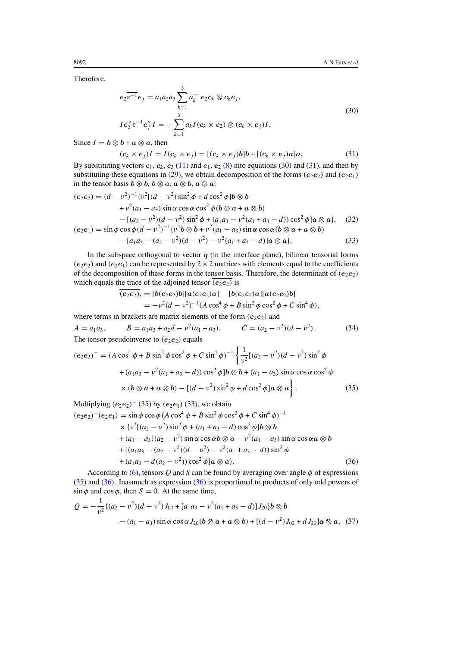Therefore,

$$
e_2 \overline{\varepsilon^{-1}} e_j = a_1 a_2 a_3 \sum_{k=1}^3 a_k^{-1} e_2 c_k \otimes c_k e_j,
$$
  
\n
$$
I e_2^{\times} \varepsilon^{-1} e_j^{\times} I = - \sum_{k=1}^3 a_k I(c_k \times e_2) \otimes (c_k \times e_j) I.
$$
\n(30)

Since  $I = b \otimes b + a \otimes a$ , then

$$
(\mathbf{c}_k \times \mathbf{e}_j)I = I(\mathbf{c}_k \times \mathbf{e}_j) = [(\mathbf{c}_k \times \mathbf{e}_j)\mathbf{b}] \mathbf{b} + [(\mathbf{c}_k \times \mathbf{e}_j)\mathbf{a}] \mathbf{a}.
$$
 (31)

By substituting vectors  $c_1$ ,  $c_2$ ,  $c_3$  [\(11\)](#page-4-0) and  $e_1$ ,  $e_2$  [\(8\)](#page-3-0) into equations (30) and (31), and then by substituting these equations in [\(29\)](#page-8-0), we obtain decomposition of the forms  $(e_2e_2)$  and  $(e_2e_1)$ in the tensor basis  $b \otimes b$ ,  $b \otimes a$ ,  $a \otimes b$ ,  $a \otimes a$ :

$$
(e_2e_2) = (d - v^2)^{-1} \{v^2 \{ (d - v^2) \sin^2 \phi + d \cos^2 \phi \} b \otimes b + v^2 (a_1 - a_3) \sin \alpha \cos \alpha \cos^2 \phi (b \otimes a + a \otimes b) - [(a_2 - v^2)(d - v^2) \sin^2 \phi + (a_1 a_3 - v^2 (a_1 + a_3 - d)) \cos^2 \phi ] a \otimes a \}, \quad (32)
$$
  

$$
(e_2e_1) = \sin \phi \cos \phi (d - v^2)^{-1} \{v^4 b \otimes b + v^2 (a_1 - a_3) \sin \alpha \cos \alpha (b \otimes a + a \otimes b) \}
$$

$$
-[a1a3 - (a2 - v2)(d - v2) - v2(a1 + a3 - d)]a \otimes a]. \t(33)
$$

In the subspace orthogonal to vector  $q$  (in the interface plane), bilinear tensorial forms  $(e_2e_2)$  and  $(e_2e_1)$  can be represented by 2  $\times$  2 matrices with elements equal to the coefficients of the decomposition of these forms in the tensor basis. Therefore, the determinant of  $(e_2e_2)$ which equals the trace of the adjoined tensor  $\overline{(e_2e_2)}$  is

$$
\overline{(e_2e_2)_t} = [b(e_2e_2)b][a(e_2e_2)a] - [b(e_2e_2)a][a(e_2e_2)b]
$$
  
=  $-v^2(d - v^2)^{-1}(A\cos^4\phi + B\sin^2\phi\cos^2\phi + C\sin^4\phi),$ 

where terms in brackets are matrix elements of the form  $(e_2e_2)$  and

$$
A = a_1 a_3, \qquad B = a_1 a_3 + a_2 d - v^2 (a_1 + a_3), \qquad C = (a_2 - v^2)(d - v^2). \tag{34}
$$

The tensor pseudoinverse to  $(e_2e_2)$  equals

$$
(e_2e_2)^{-} = (A\cos^4\phi + B\sin^2\phi\cos^2\phi + C\sin^4\phi)^{-1} \left\{ \frac{1}{v^2} [(a_2 - v^2)(d - v^2)\sin^2\phi + (a_1a_3 - v^2(a_1 + a_3 - d))\cos^2\phi] b \otimes b + (a_1 - a_3)\sin\alpha\cos\alpha\cos^2\phi \right\}
$$
  
×  $(b \otimes a + a \otimes b) - [(d - v^2)\sin^2\phi + d\cos^2\phi] a \otimes a \right\}.$  (35)

Multiplying  $(e_2e_2)^{-1}$  (35) by  $(e_2e_1)^{-1}$  (33), we obtain

$$
(e_2e_2)^{+}(e_2e_1) = \sin\phi\cos\phi(A\cos^4\phi + B\sin^2\phi\cos^2\phi + C\sin^4\phi)^{-1}
$$
  
\n
$$
\times \{v^2[(a_2 - v^2)\sin^2\phi + (a_1 + a_3 - d)\cos^2\phi]b\otimes b
$$
  
\n
$$
+ (a_1 - a_3)(a_2 - v^2)\sin\alpha\cos\alpha b\otimes a - v^2(a_1 - a_3)\sin\alpha\cos\alpha a\otimes b
$$
  
\n
$$
+ [(a_1a_3 - (a_2 - v^2)(d - v^2) - v^2(a_1 + a_3 - d))\sin^2\phi
$$
  
\n
$$
+ (a_1a_3 - d(a_2 - v^2))\cos^2\phi]a\otimes a].
$$
\n(36)

According to [\(6\)](#page-3-0), tensors  $Q$  and  $S$  can be found by averaging over angle  $\phi$  of expressions (35) and (36). Inasmuch as expression (36) is proportional to products of only odd powers of  $\sin \phi$  and  $\cos \phi$ , then  $S = 0$ . At the same time,

$$
Q = -\frac{1}{v^2} \{ (a_2 - v^2)(d - v^2) J_{02} + [a_1 a_3 - v^2(a_1 + a_3 - d)] J_{20} \} b \otimes b
$$
  
 
$$
- (a_1 - a_3) \sin \alpha \cos \alpha J_{20} (b \otimes a + a \otimes b) + [(d - v^2) J_{02} + d J_{20}] a \otimes a, (37)
$$

<span id="page-9-0"></span>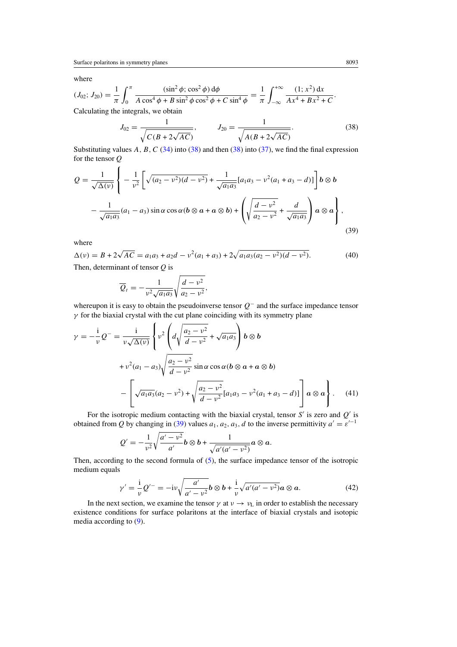<span id="page-10-0"></span>where

$$
(J_{02}; J_{20}) = \frac{1}{\pi} \int_0^{\pi} \frac{(\sin^2 \phi; \cos^2 \phi) d\phi}{A \cos^4 \phi + B \sin^2 \phi \cos^2 \phi + C \sin^4 \phi} = \frac{1}{\pi} \int_{-\infty}^{+\infty} \frac{(1; x^2) dx}{Ax^4 + Bx^2 + C}.
$$
  
Calculating the integrals, we obtain

$$
J_{02} = \frac{1}{\sqrt{C(B + 2\sqrt{AC})}}, \qquad J_{20} = \frac{1}{\sqrt{A(B + 2\sqrt{AC})}}.
$$
 (38)

Substituting values *A*, *B*, *C* [\(34\)](#page-9-0) into (38) and then (38) into [\(37\)](#page-9-0), we find the final expression for the tensor *Q*

$$
Q = \frac{1}{\sqrt{\Delta(\nu)}} \left\{ -\frac{1}{\nu^2} \left[ \sqrt{(a_2 - \nu^2)(d - \nu^2)} + \frac{1}{\sqrt{a_1 a_3}} [a_1 a_3 - \nu^2 (a_1 + a_3 - d)] \right] b \otimes b - \frac{1}{\sqrt{a_1 a_3}} (a_1 - a_3) \sin \alpha \cos \alpha (b \otimes a + a \otimes b) + \left( \sqrt{\frac{d - \nu^2}{a_2 - \nu^2}} + \frac{d}{\sqrt{a_1 a_3}} \right) a \otimes a \right\},
$$
\n(39)

where

 $\Delta(\nu) = B + 2\sqrt{AC} = a_1a_3 + a_2d - \nu^2(a_1 + a_3) + 2\sqrt{a_1a_3(a_2 - \nu^2)(d - \nu^2)}$ . (40) Then, determinant of tensor *Q* is

$$
\overline{Q}_t = -\frac{1}{v^2 \sqrt{a_1 a_3}} \sqrt{\frac{d - v^2}{a_2 - v^2}},
$$

whereupon it is easy to obtain the pseudoinverse tensor *Q*<sup>−</sup> and the surface impedance tensor *γ* for the biaxial crystal with the cut plane coinciding with its symmetry plane

$$
\gamma = -\frac{i}{\nu} Q^{-} = \frac{i}{\nu \sqrt{\Delta(\nu)}} \left\{ \nu^2 \left( d \sqrt{\frac{a_2 - \nu^2}{d - \nu^2}} + \sqrt{a_1 a_3} \right) b \otimes b \right\}
$$
  
+ 
$$
\nu^2 (a_1 - a_3) \sqrt{\frac{a_2 - \nu^2}{d - \nu^2}} \sin \alpha \cos \alpha (b \otimes a + a \otimes b)
$$
  
- 
$$
\left[ \sqrt{a_1 a_3} (a_2 - \nu^2) + \sqrt{\frac{a_2 - \nu^2}{d - \nu^2}} [a_1 a_3 - \nu^2 (a_1 + a_3 - d)] \right] a \otimes a \right\}. \tag{41}
$$

For the isotropic medium contacting with the biaxial crystal, tensor  $S'$  is zero and  $Q'$  is obtained from *Q* by changing in (39) values  $a_1, a_2, a_3, d$  to the inverse permittivity  $a' = \varepsilon'^{-1}$ 

$$
Q' = -\frac{1}{v^2} \sqrt{\frac{a'-v^2}{a'}} b \otimes b + \frac{1}{\sqrt{a'(a'-v^2)}} a \otimes a.
$$

Then, according to the second formula of [\(5\)](#page-3-0), the surface impedance tensor of the isotropic medium equals

$$
\gamma' = \frac{\mathrm{i}}{\mathrm{i}} Q'^{-} = -\mathrm{i}\nu \sqrt{\frac{a'}{a' - \mathrm{i}\nu^{2}}} b \otimes b + \frac{\mathrm{i}}{\mathrm{i}} \sqrt{a'(a' - \mathrm{i}\nu^{2})} a \otimes a. \tag{42}
$$

In the next section, we examine the tensor  $\gamma$  at  $\nu \rightarrow \nu_L$  in order to establish the necessary existence conditions for surface polaritons at the interface of biaxial crystals and isotopic media according to [\(9\)](#page-4-0).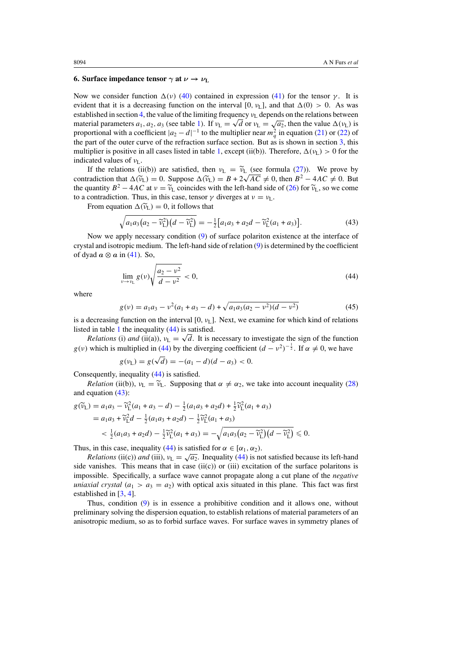## <span id="page-11-0"></span>**6. Surface impedance tensor**  $\gamma$  **at**  $\nu \rightarrow \nu_L$

Now we consider function  $\Delta$ (*ν*) [\(40\)](#page-10-0) contained in expression [\(41\)](#page-10-0) for the tensor *γ*. It is evident that it is a decreasing function on the interval [0,  $v_L$ ], and that  $\Delta(0) > 0$ . As was established in section [4,](#page-7-0) the value of the limiting frequency *ν*<sub>L</sub> depends on the relations between established in section 4, the value of the limiting frequency  $v_L$  depends on the relations between<br>material parameters  $a_1, a_2, a_3$  (see table [1\)](#page-8-0). If  $v_L = \sqrt{d}$  or  $v_L = \sqrt{a_2}$ , then the value  $\Delta(v_L)$  is proportional with a coefficient  $|a_2 - d|^{-1}$  to the multiplier near  $m_q^2$  in equation [\(21\)](#page-6-0) or [\(22\)](#page-6-0) of the part of the outer curve of the refraction surface section. But as is shown in section [3,](#page-4-0) this multiplier is positive in all cases listed in table [1,](#page-8-0) except (ii(b)). Therefore,  $\Delta(v_L) > 0$  for the indicated values of *ν*L.

If the relations (ii(b)) are satisfied, then  $v_L = \tilde{v}_L$  (see formula [\(27\)](#page-8-0)). We prove by contradiction that  $\Delta(\tilde{v}_L) = 0$ . Suppose  $\Delta(\tilde{v}_L) = B + 2\sqrt{AC} \neq 0$ , then  $B^2 - 4AC \neq 0$ . But the quantity  $B^2 - 4AC$  at  $v = \tilde{v}_L$  coincides with the left-hand side of [\(26\)](#page-7-0) for  $\tilde{v}_L$ , so we come to a contradiction. Thus, in this case, tensor  $\gamma$  diverges at  $\nu = \nu_L$ .

From equation  $\Delta(\tilde{v}_L) = 0$ , it follows that

$$
\sqrt{a_1 a_3 (a_2 - \widetilde{v}_{L}^2)(d - \widetilde{v}_{L}^2)} = -\frac{1}{2} [a_1 a_3 + a_2 d - \widetilde{v}_{L}^2 (a_1 + a_3)].
$$
\n(43)

Now we apply necessary condition [\(9\)](#page-4-0) of surface polariton existence at the interface of crystal and isotropic medium. The left-hand side of relation [\(9\)](#page-4-0) is determined by the coefficient of dyad  $a \otimes a$  in [\(41\)](#page-10-0). So,

$$
\lim_{\nu \to \nu_{\rm L}} g(\nu) \sqrt{\frac{a_2 - \nu^2}{d - \nu^2}} < 0,
$$
\n(44)

where

$$
g(v) = a_1 a_3 - v^2 (a_1 + a_3 - d) + \sqrt{a_1 a_3 (a_2 - v^2)(d - v^2)}
$$
(45)

is a decreasing function on the interval  $[0, v_L]$ . Next, we examine for which kind of relations listed in table [1](#page-8-0) the inequality (44) is satisfied.

*Relations* (i) *and* (ii(a)),  $v_L = \sqrt{d}$ . It is necessary to investigate the sign of the function *g*(*v*) which is multiplied in (44) by the diverging coefficient  $(d - v^2)^{-\frac{1}{2}}$ . If  $\alpha \neq 0$ , we have

$$
g(v_{\rm L}) = g(\sqrt{d}) = -(a_1 - d)(d - a_3) < 0.
$$

Consequently, inequality (44) is satisfied.

*Relation* (ii(b)),  $v_L = \tilde{v}_L$ . Supposing that  $\alpha \neq \alpha_2$ , we take into account inequality [\(28\)](#page-8-0) and equation (43):

$$
g(\widetilde{v}_L) = a_1 a_3 - \widetilde{v}_L^2 (a_1 + a_3 - d) - \frac{1}{2} (a_1 a_3 + a_2 d) + \frac{1}{2} \widetilde{v}_L^2 (a_1 + a_3)
$$
  
=  $a_1 a_3 + \widetilde{v}_L^2 d - \frac{1}{2} (a_1 a_3 + a_2 d) - \frac{1}{2} \widetilde{v}_L^2 (a_1 + a_3)$   
<  $\frac{1}{2} (a_1 a_3 + a_2 d) - \frac{1}{2} \widetilde{v}_L^2 (a_1 + a_3) = -\sqrt{a_1 a_3 (a_2 - \widetilde{v}_L^2)} (d - \widetilde{v}_L^2) \le 0.$ 

Thus, in this case, inequality (44) is satisfied for  $\alpha \in [\alpha_1, \alpha_2)$ .

*Relations* (ii(c)) *and* (iii),  $v_L = \sqrt{a_2}$ . Inequality (44) is not satisfied because its left-hand side vanishes. This means that in case  $(ii(c))$  or  $(iii)$  excitation of the surface polaritons is impossible. Specifically, a surface wave cannot propagate along a cut plane of the *negative uniaxial crystal*  $(a_1 > a_3 = a_2)$  with optical axis situated in this plane. This fact was first established in [\[3](#page-18-0), [4](#page-18-0)].

Thus, condition [\(9\)](#page-4-0) is in essence a prohibitive condition and it allows one, without preliminary solving the dispersion equation, to establish relations of material parameters of an anisotropic medium, so as to forbid surface waves. For surface waves in symmetry planes of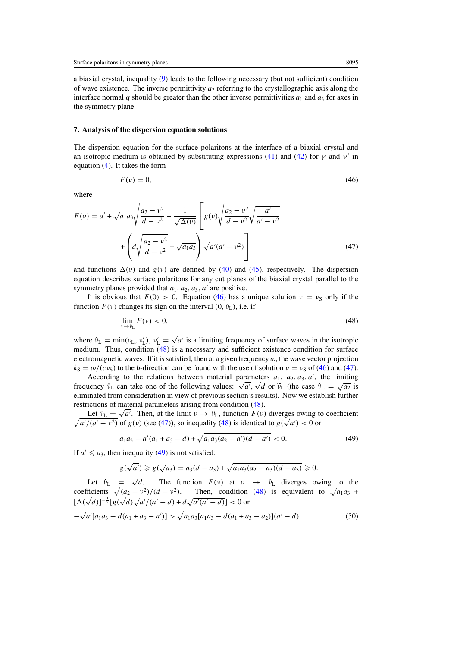<span id="page-12-0"></span>a biaxial crystal, inequality [\(9\)](#page-4-0) leads to the following necessary (but not sufficient) condition of wave existence. The inverse permittivity  $a_2$  referring to the crystallographic axis along the interface normal *q* should be greater than the other inverse permittivities  $a_1$  and  $a_3$  for axes in the symmetry plane.

## **7. Analysis of the dispersion equation solutions**

The dispersion equation for the surface polaritons at the interface of a biaxial crystal and an isotropic medium is obtained by substituting expressions [\(41\)](#page-10-0) and [\(42\)](#page-10-0) for  $\gamma$  and  $\gamma'$  in equation [\(4\)](#page-3-0). It takes the form

$$
F(v) = 0,\t\t(46)
$$

where

$$
F(v) = a' + \sqrt{a_1 a_3} \sqrt{\frac{a_2 - v^2}{d - v^2}} + \frac{1}{\sqrt{\Delta(v)}} \left[ g(v) \sqrt{\frac{a_2 - v^2}{d - v^2}} \sqrt{\frac{a'}{a' - v^2}} + \left( d \sqrt{\frac{a_2 - v^2}{d - v^2}} + \sqrt{a_1 a_3} \right) \sqrt{a'(a' - v^2)} \right]
$$
(47)

and functions  $\Delta(v)$  and  $g(v)$  are defined by [\(40\)](#page-10-0) and [\(45\)](#page-11-0), respectively. The dispersion equation describes surface polaritons for any cut planes of the biaxial crystal parallel to the symmetry planes provided that  $a_1$ ,  $a_2$ ,  $a_3$ ,  $a'$  are positive.

It is obvious that  $F(0) > 0$ . Equation (46) has a unique solution  $v = v_S$  only if the function  $F(v)$  changes its sign on the interval  $(0, \hat{v}_L)$ , i.e. if

$$
\lim_{\nu \to \hat{\nu}_L} F(\nu) < 0,\tag{48}
$$

where  $\hat{v}_L = \min(v_L, v'_L)$ ,  $v'_L = \sqrt{a'}$  is a limiting frequency of surface waves in the isotropic medium. Thus, condition (48) is a necessary and sufficient existence condition for surface electromagnetic waves. If it is satisfied, then at a given frequency  $\omega$ , the wave vector projection  $k_S = \omega/(c v_S)$  to the *b*-direction can be found with the use of solution  $v = v_S$  of (46) and (47).

According to the relations between material parameters  $a_1$ ,  $a_2$ ,  $a_3$ ,  $a'$ , the limiting *frequency*  $\hat{v}_L$  can take one of the following values:  $\sqrt{a'}$ ,  $\sqrt{d}$  or  $\tilde{v}_L$  (the case  $\hat{v}_L = \sqrt{a_2}$  is eliminated from consideration in view of previous section's results). Now we establish further eliminated from consideration in view of previous section's results). Now we establish further restrictions of material parameters arising from condition (48).

Lettons or material parameters arising from condition (48).<br>Let  $\hat{v}_L = \sqrt{a'}$ . Then, at the limit  $v \to \hat{v}_L$ , function  $F(v)$  diverges owing to coefficient Let  $v_L = \sqrt{a'}$ . Then, at the limit  $v \to v_L$ , function  $F(v)$  diverges owing to  $\sqrt{a'/(a'-v^2)}$  of  $g(v)$  (see (47)), so inequality (48) is identical to  $g(\sqrt{a'}) < 0$  or

$$
a_1a_3 - a'(a_1 + a_3 - d) + \sqrt{a_1a_3(a_2 - a')(d - a')} < 0. \tag{49}
$$

If  $a' \leq a_3$ , then inequality (49) is not satisfied:

$$
g(\sqrt{a'}) \ge g(\sqrt{a_3}) = a_3(d-a_3) + \sqrt{a_1 a_3 (a_2 - a_3)(d-a_3)} \ge 0.
$$

Let  $\hat{v}_L = \sqrt{d}$ . The function  $F(v)$  at  $v \rightarrow \hat{v}_L$  diverges owing to the coefficients  $\sqrt{(a_2 - v^2)/(d - v^2)}$ . Then, condition (48) is equivalent to  $\sqrt{a_1 a_3}$  +  $[\Delta(\sqrt{d})]^{-\frac{1}{2}}[g(\sqrt{d})\sqrt{a'/(a'-d)} + d\sqrt{a'(a'-d)}] < 0$  or √

$$
-\sqrt{a'}[a_1a_3 - d(a_1 + a_3 - a')] > \sqrt{a_1a_3[a_1a_3 - d(a_1 + a_3 - a_2)](a' - d)}.
$$
\n(50)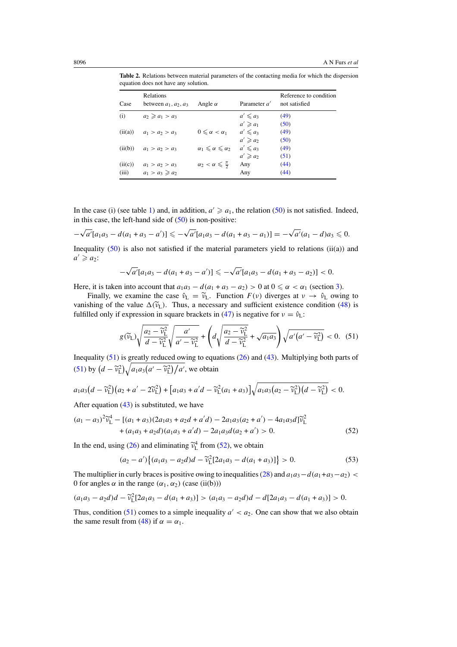<span id="page-13-0"></span>**Table 2.** Relations between material parameters of the contacting media for which the dispersion equation does not have any solution.

| Case    | Relations<br>between $a_1$ , $a_2$ , $a_3$ | Angle $\alpha$                         | Parameter $a'$ | Reference to condition<br>not satisfied |
|---------|--------------------------------------------|----------------------------------------|----------------|-----------------------------------------|
| (i)     | $a_2 \geq a_1 > a_3$                       |                                        | $a' \leq a_3$  | (49)                                    |
|         |                                            |                                        | $a' \geq a_1$  | (50)                                    |
| (ii(a)) | $a_1 > a_2 > a_3$                          | $0 \leq \alpha < \alpha_1$             | $a' \leq a_3$  | (49)                                    |
|         |                                            |                                        | $a' \geq a_2$  | (50)                                    |
| (ii(b)) | $a_1 > a_2 > a_3$                          | $\alpha_1 \leq \alpha \leq \alpha_2$   | $a' \leq a_3$  | (49)                                    |
|         |                                            |                                        | $a' \geq a_2$  | (51)                                    |
| (ii(c)) | $a_1 > a_2 > a_3$                          | $\alpha_2 < \alpha \leq \frac{\pi}{2}$ | Any            | (44)                                    |
| (iii)   | $a_1 > a_3 \ge a_2$                        |                                        | Any            | (44)                                    |

In the case (i) (see table [1\)](#page-8-0) and, in addition,  $a' \geq a_1$ , the relation [\(50\)](#page-12-0) is not satisfied. Indeed, in this case, the left-hand side of  $(50)$  is non-positive:

$$
-\sqrt{a'}[a_1a_3-d(a_1+a_3-a')] \leqslant -\sqrt{a'}[a_1a_3-d(a_1+a_3-a_1)] = -\sqrt{a'}(a_1-d)a_3 \leqslant 0.
$$

Inequality  $(50)$  is also not satisfied if the material parameters yield to relations (ii(a)) and  $a' \geqslant a_2$ :

$$
-\sqrt{a'}[a_1a_3-d(a_1+a_3-a')] \leq -\sqrt{a'}[a_1a_3-d(a_1+a_3-a_2)] < 0.
$$

Here, it is taken into account that  $a_1a_3 - d(a_1 + a_3 - a_2) > 0$  at  $0 \le \alpha < \alpha_1$  (section [3\)](#page-4-0).

Finally, we examine the case  $\hat{v}_L = \tilde{v}_L$ . Function  $F(v)$  diverges at  $v \to \hat{v}_L$  owing to vanishing of the value  $\Delta(\tilde{v}_L)$ . Thus, a necessary and sufficient existence condition [\(48\)](#page-12-0) is fulfilled only if expression in square brackets in [\(47\)](#page-12-0) is negative for  $v = \hat{v}_L$ :

$$
g(\widetilde{v}_L)\sqrt{\frac{a_2-\widetilde{v}_L^2}{d-\widetilde{v}_L^2}}\sqrt{\frac{a'}{a'-\widetilde{v}_L^2}} + \left(d\sqrt{\frac{a_2-\widetilde{v}_L^2}{d-\widetilde{v}_L^2}} + \sqrt{a_1 a_3}\right)\sqrt{a'(a'-\widetilde{v}_L^2)} < 0. \quad (51)
$$

Inequality (51) is greatly reduced owing to equations [\(26\)](#page-7-0) and [\(43\)](#page-11-0). Multiplying both parts of (51) by  $\left(d - \tilde{v}_{\text{L}}^2\right)\sqrt{a_1 a_3 \left(a' - \tilde{v}_{\text{L}}^2\right)/a'}$ , we obtain

$$
a_1a_3\big(d-\widetilde{v}_L^2\big)\big(a_2+a'-2\widetilde{v}_L^2\big)+\big[a_1a_3+a'd-\widetilde{v}_L^2(a_1+a_3)\big]\sqrt{a_1a_3\big(a_2-\widetilde{v}_L^2\big)\big(d-\widetilde{v}_L^2\big)}<0.
$$

After equation  $(43)$  is substituted, we have

$$
(a_1 - a_3)^2 \widetilde{v}_L^4 - [(a_1 + a_3)(2a_1a_3 + a_2d + a'd) - 2a_1a_3(a_2 + a') - 4a_1a_3d]\widetilde{v}_L^2
$$
  
+ 
$$
(a_1a_3 + a_2d)(a_1a_3 + a'd) - 2a_1a_3d(a_2 + a') > 0.
$$
 (52)

In the end, using [\(26\)](#page-7-0) and eliminating  $\tilde{v}_L^4$  from (52), we obtain

$$
(a_2 - a')\{(a_1a_3 - a_2d)d - \widetilde{v}_L^2[2a_1a_3 - d(a_1 + a_3)]\} > 0.
$$
 (53)

The multiplier in curly braces is positive owing to inequalities [\(28\)](#page-8-0) and  $a_1a_3-d(a_1+a_3-a_2)$ 0 for angles *α* in the range  $(α_1, α_2)$  (case (ii(b)))

$$
(a_1a_3-a_2d)d-\widetilde{v}_L^2[2a_1a_3-d(a_1+a_3)]>(a_1a_3-a_2d)d-d[2a_1a_3-d(a_1+a_3)]>0.
$$

Thus, condition (51) comes to a simple inequality  $a' < a_2$ . One can show that we also obtain the same result from [\(48\)](#page-12-0) if  $\alpha = \alpha_1$ .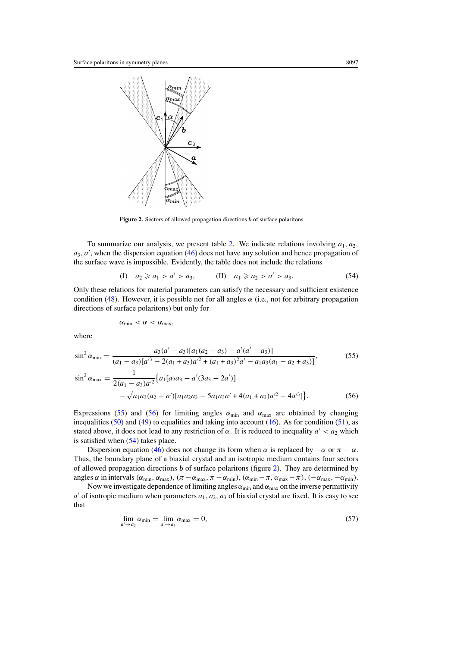<span id="page-14-0"></span>

**Figure 2.** Sectors of allowed propagation directions *b* of surface polaritons.

To summarize our analysis, we present table [2.](#page-13-0) We indicate relations involving  $a_1, a_2, a_3$  $a_3$ ,  $a'$ , when the dispersion equation [\(46\)](#page-12-0) does not have any solution and hence propagation of the surface wave is impossible. Evidently, the table does not include the relations

(I) 
$$
a_2 \ge a_1 > a' > a_3
$$
, (II)  $a_1 \ge a_2 > a' > a_3$ . (54)

Only these relations for material parameters can satisfy the necessary and sufficient existence condition [\(48\)](#page-12-0). However, it is possible not for all angles  $\alpha$  (i.e., not for arbitrary propagation directions of surface polaritons) but only for

$$
\alpha_{\min} < \alpha < \alpha_{\max},
$$

where

$$
\sin^2 \alpha_{\min} = \frac{a_3(a' - a_3)[a_1(a_2 - a_3) - a'(a' - a_3)]}{(a_1 - a_3)[a'^3 - 2(a_1 + a_3)a'^2 + (a_1 + a_3)^2a' - a_1a_3(a_1 - a_2 + a_3)]},
$$
\n
$$
\sin^2 \alpha_{\max} = \frac{1}{2(a_1 - a_3)a'^2} \{a_1[a_2a_3 - a'(3a_3 - 2a')]
$$
\n
$$
-\sqrt{a_1a_3(a_2 - a')[a_1a_2a_3 - 5a_1a_3a' + 4(a_1 + a_3)a'^2 - 4a'^3]}\}.
$$
\n(56)

Expressions (55) and (56) for limiting angles  $\alpha_{\min}$  and  $\alpha_{\max}$  are obtained by changing inequalities  $(50)$  and  $(49)$  to equalities and taking into account  $(16)$ . As for condition  $(51)$ , as stated above, it does not lead to any restriction of  $\alpha$ . It is reduced to inequality  $a' < a_2$  which is satisfied when (54) takes place.

Dispersion equation [\(46\)](#page-12-0) does not change its form when  $\alpha$  is replaced by  $-\alpha$  or  $\pi - \alpha$ . Thus, the boundary plane of a biaxial crystal and an isotropic medium contains four sectors of allowed propagation directions *b* of surface polaritons (figure 2). They are determined by angles  $\alpha$  in intervals  $(\alpha_{\min}, \alpha_{\max})$ ,  $(\pi - \alpha_{\max}, \pi - \alpha_{\min})$ ,  $(\alpha_{\min} - \pi, \alpha_{\max} - \pi)$ ,  $(-\alpha_{\max}, -\alpha_{\min})$ .

Now we investigate dependence of limiting angles  $\alpha_{min}$  and  $\alpha_{max}$  on the inverse permittivity  $a'$  of isotropic medium when parameters  $a_1, a_2, a_3$  of biaxial crystal are fixed. It is easy to see that

$$
\lim_{a' \to a_3} \alpha_{\min} = \lim_{a' \to a_3} \alpha_{\max} = 0,\tag{57}
$$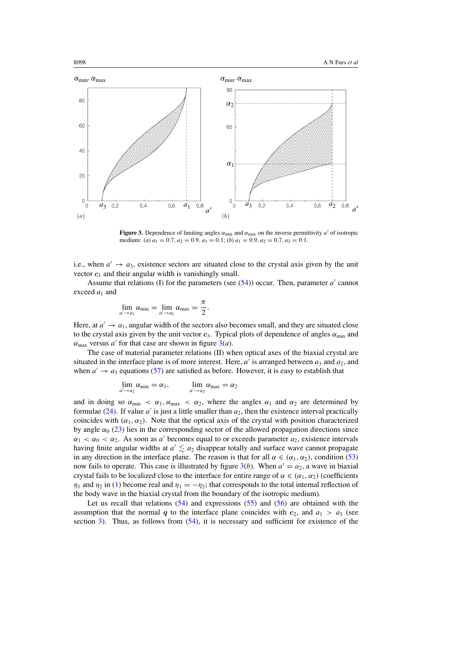<span id="page-15-0"></span>

**Figure 3.** Dependence of limiting angles  $\alpha_{min}$  and  $\alpha_{max}$  on the inverse permittivity *a'* of isotropic medium: (*a*)  $a_1 = 0.7, a_2 = 0.9, a_3 = 0.1$ ; (*b*)  $a_1 = 0.9, a_2 = 0.7, a_3 = 0.1$ .

i.e., when  $a' \rightarrow a_3$ , existence sectors are situated close to the crystal axis given by the unit vector  $c_1$  and their angular width is vanishingly small.

Assume that relations (I) for the parameters (see  $(54)$ ) occur. Then, parameter  $a'$  cannot exceed  $a_1$  and

$$
\lim_{a'\to a_1}\alpha_{\min}=\lim_{a'\to a_1}\alpha_{\max}=\frac{\pi}{2}.
$$

Here, at  $a' \rightarrow a_1$ , angular width of the sectors also becomes small, and they are situated close to the crystal axis given by the unit vector  $c_3$ . Typical plots of dependence of angles  $\alpha_{\min}$  and  $\alpha_{\text{max}}$  versus *a'* for that case are shown in figure 3(*a*).

The case of material parameter relations (II) when optical axes of the biaxial crystal are situated in the interface plane is of more interest. Here,  $a'$  is arranged between  $a_3$  and  $a_2$ , and when  $a' \rightarrow a_3$  equations [\(57\)](#page-14-0) are satisfied as before. However, it is easy to establish that

$$
\lim_{a'\to a_2} \alpha_{\min} = \alpha_1, \qquad \lim_{a'\to a_2} \alpha_{\max} = \alpha_2
$$

and in doing so  $\alpha_{\min} < \alpha_1, \alpha_{\max} < \alpha_2$ , where the angles  $\alpha_1$  and  $\alpha_2$  are determined by formulae  $(24)$ . If value  $a'$  is just a little smaller than  $a_2$ , then the existence interval practically coincides with  $(\alpha_1, \alpha_2)$ . Note that the optical axis of the crystal with position characterized by angle  $\alpha_0$  [\(23\)](#page-7-0) lies in the corresponding sector of the allowed propagation directions since  $\alpha_1 < \alpha_0 < \alpha_2$ . As soon as *a'* becomes equal to or exceeds parameter  $a_2$ , existence intervals having finite angular widths at  $a' \lesssim a_2$  disappear totally and surface wave cannot propagate in any direction in the interface plane. The reason is that for all  $\alpha \in (\alpha_1, \alpha_2)$ , condition [\(53\)](#page-13-0) now fails to operate. This case is illustrated by figure  $3(b)$ . When  $a' = a_2$ , a wave in biaxial crystal fails to be localized close to the interface for entire range of  $\alpha \in (\alpha_1, \alpha_2)$  (coefficients *η*<sub>1</sub> and *η*<sub>2</sub> in [\(1\)](#page-2-0) become real and  $\eta_1 = -\eta_2$ ; that corresponds to the total internal reflection of the body wave in the biaxial crystal from the boundary of the isotropic medium).

Let us recall that relations [\(54\)](#page-14-0) and expressions [\(55\)](#page-14-0) and [\(56\)](#page-14-0) are obtained with the assumption that the normal *q* to the interface plane coincides with  $c_2$ , and  $a_1 > a_3$  (see section [3\)](#page-4-0). Thus, as follows from  $(54)$ , it is necessary and sufficient for existence of the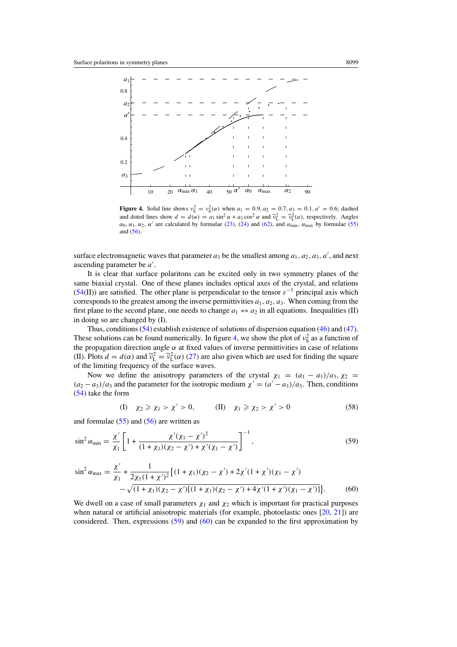<span id="page-16-0"></span>

**Figure 4.** Solid line shows  $v_S^2 = v_S^2(\alpha)$  when  $a_1 = 0.9, a_2 = 0.7, a_3 = 0.1, a' = 0.6$ ; dashed and doted lines show  $d = d(\alpha) = a_1 \sin^2 \alpha + a_3 \cos^2 \alpha$  and  $\tilde{v}_L^2 = \tilde{v}_L^2(\alpha)$ , respectively. Angles  $\alpha_0$ ,  $\alpha_1$ ,  $\alpha_2$ ,  $\alpha'$  are calculated by formulae [\(23\)](#page-7-0), [\(24\)](#page-7-0) and [\(62\)](#page-17-0), and  $\alpha_{\min}$ ,  $\alpha_{\max}$  by formulae [\(55\)](#page-14-0) and [\(56\)](#page-14-0).

surface electromagnetic waves that parameter  $a_3$  be the smallest among  $a_1, a_2, a_3, a'$ , and next ascending parameter be  $a'$ .

It is clear that surface polaritons can be excited only in two symmetry planes of the same biaxial crystal. One of these planes includes optical axes of the crystal, and relations [\(54\(](#page-14-0)II)) are satisfied. The other plane is perpendicular to the tensor  $\varepsilon^{-1}$  principal axis which corresponds to the greatest among the inverse permittivities  $a_1, a_2, a_3$ . When coming from the first plane to the second plane, one needs to change  $a_1 \leftrightarrow a_2$  in all equations. Inequalities (II) in doing so are changed by (I).

Thus, conditions [\(54\)](#page-14-0) establish existence of solutions of dispersion equation [\(46\)](#page-12-0) and [\(47\)](#page-12-0). These solutions can be found numerically. In figure 4, we show the plot of  $v_s^2$  as a function of the propagation direction angle *α* at fixed values of inverse permittivities in case of relations (II). Plots  $d = d(\alpha)$  and  $\tilde{\nu}_L^2 = \tilde{\nu}_L^2(\alpha)$  [\(27\)](#page-8-0) are also given which are used for finding the square of the limiting frequency of the surface waves of the limiting frequency of the surface waves.

Now we define the anisotropy parameters of the crystal  $\chi_1 = (a_1 - a_3)/a_3$ ,  $\chi_2 =$  $(a_2 - a_3)/a_3$  and the parameter for the isotropic medium  $\chi' = (a' - a_3)/a_3$ . Then, conditions [\(54\)](#page-14-0) take the form

(I) 
$$
\chi_2 \ge \chi_1 > \chi' > 0
$$
, (II)  $\chi_1 \ge \chi_2 > \chi' > 0$  (58)

and formulae  $(55)$  and  $(56)$  are written as

$$
\sin^2 \alpha_{\min} = \frac{\chi'}{\chi_1} \left[ 1 + \frac{\chi'(\chi_1 - \chi')^2}{(1 + \chi_1)(\chi_2 - \chi') + \chi'(\chi_1 - \chi')} \right]^{-1},\tag{59}
$$

$$
\sin^2 \alpha_{\text{max}} = \frac{\chi'}{\chi_1} + \frac{1}{2\chi_1(1+\chi')^2} \{ (1+\chi_1)(\chi_2 - \chi') + 2\chi'(1+\chi')(\chi_1 - \chi') - \sqrt{(1+\chi_1)(\chi_2 - \chi')[(1+\chi_1)(\chi_2 - \chi') + 4\chi'(1+\chi')(\chi_1 - \chi')] } \}.
$$
(60)

We dwell on a case of small parameters  $\chi_1$  and  $\chi_2$  which is important for practical purposes when natural or artificial anisotropic materials (for example, photoelastic ones [\[20](#page-18-0), [21\]](#page-18-0)) are considered. Then, expressions (59) and (60) can be expanded to the first approximation by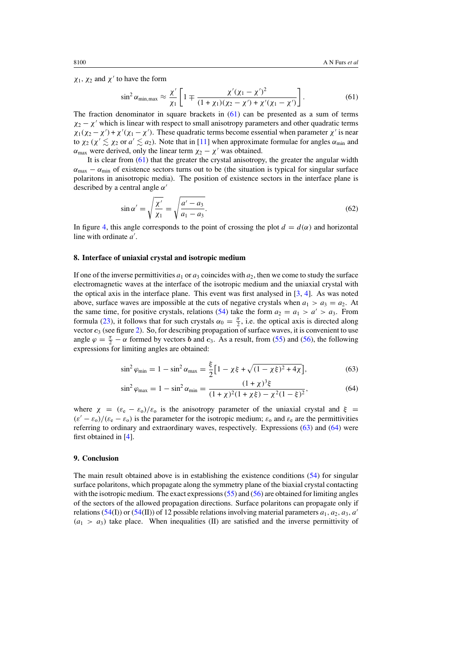<span id="page-17-0"></span> $\chi_1$ ,  $\chi_2$  and  $\chi'$  to have the form

$$
\sin^2 \alpha_{\min, \max} \approx \frac{\chi'}{\chi_1} \left[ 1 \mp \frac{\chi'(\chi_1 - \chi')^2}{(1 + \chi_1)(\chi_2 - \chi') + \chi'(\chi_1 - \chi')} \right]. \tag{61}
$$

The fraction denominator in square brackets in  $(61)$  can be presented as a sum of terms  $\chi_2 - \chi'$  which is linear with respect to small anisotropy parameters and other quadratic terms  $\chi_1(\chi_2 - \chi') + \chi'(\chi_1 - \chi')$ . These quadratic terms become essential when parameter  $\chi'$  is near to  $\chi_2$  ( $\chi' \lesssim \chi_2$  or  $a' \lesssim a_2$ ). Note that in [\[11\]](#page-18-0) when approximate formulae for angles  $\alpha_{\min}$  and  $\alpha_{\text{max}}$  were derived, only the linear term  $\chi_2 - \chi'$  was obtained.

It is clear from  $(61)$  that the greater the crystal anisotropy, the greater the angular width  $\alpha_{\text{max}} - \alpha_{\text{min}}$  of existence sectors turns out to be (the situation is typical for singular surface polaritons in anisotropic media). The position of existence sectors in the interface plane is described by a central angle *α*-

$$
\sin \alpha' = \sqrt{\frac{\chi'}{\chi_1}} = \sqrt{\frac{a' - a_3}{a_1 - a_3}}.
$$
\n(62)

In figure [4,](#page-16-0) this angle corresponds to the point of crossing the plot  $d = d(\alpha)$  and horizontal line with ordinate a'.

### **8. Interface of uniaxial crystal and isotropic medium**

If one of the inverse permittivities  $a_1$  or  $a_3$  coincides with  $a_2$ , then we come to study the surface electromagnetic waves at the interface of the isotropic medium and the uniaxial crystal with the optical axis in the interface plane. This event was first analysed in  $[3, 4]$  $[3, 4]$  $[3, 4]$  $[3, 4]$ . As was noted above, surface waves are impossible at the cuts of negative crystals when  $a_1 > a_3 = a_2$ . At the same time, for positive crystals, relations [\(54\)](#page-14-0) take the form  $a_2 = a_1 > a' > a_3$ . From formula [\(23\)](#page-7-0), it follows that for such crystals  $\alpha_0 = \frac{\pi}{2}$ , i.e. the optical axis is directed along vector *c*<sup>3</sup> (see figure [2\)](#page-14-0). So, for describing propagation of surface waves, it is convenient to use angle  $\varphi = \frac{\pi}{2} - \alpha$  formed by vectors *b* and *c*<sub>3</sub>. As a result, from [\(55\)](#page-14-0) and [\(56\)](#page-14-0), the following expressions for limiting angles are obtained:

$$
\sin^2 \varphi_{\text{min}} = 1 - \sin^2 \alpha_{\text{max}} = \frac{\xi}{2} \left[ 1 - \chi \xi + \sqrt{(1 - \chi \xi)^2 + 4\chi} \right],\tag{63}
$$

$$
\sin^2 \varphi_{\text{max}} = 1 - \sin^2 \alpha_{\text{min}} = \frac{(1 + \chi)^3 \xi}{(1 + \chi)^2 (1 + \chi \xi) - \chi^2 (1 - \xi)^2},\tag{64}
$$

where  $\chi = (\varepsilon_e - \varepsilon_o)/\varepsilon_o$  is the anisotropy parameter of the uniaxial crystal and  $\xi =$  $(\varepsilon' - \varepsilon_0)/(\varepsilon_e - \varepsilon_0)$  is the parameter for the isotropic medium;  $\varepsilon_0$  and  $\varepsilon_e$  are the permittivities referring to ordinary and extraordinary waves, respectively. Expressions (63) and (64) were first obtained in [\[4](#page-18-0)].

# **9. Conclusion**

The main result obtained above is in establishing the existence conditions [\(54\)](#page-14-0) for singular surface polaritons, which propagate along the symmetry plane of the biaxial crystal contacting with the isotropic medium. The exact expressions  $(55)$  and  $(56)$  are obtained for limiting angles of the sectors of the allowed propagation directions. Surface polaritons can propagate only if relations [\(54\(](#page-14-0)I)) or (54(II)) of 12 possible relations involving material parameters  $a_1, a_2, a_3, a'$  $(a_1 > a_3)$  take place. When inequalities (II) are satisfied and the inverse permittivity of